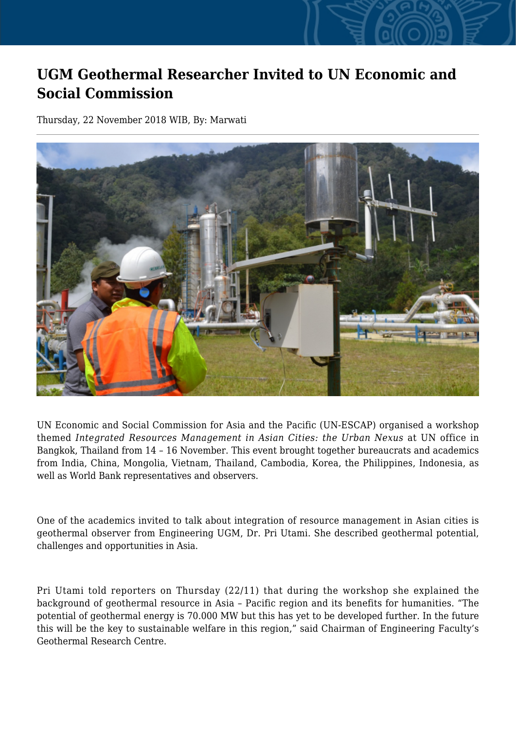## **UGM Geothermal Researcher Invited to UN Economic and Social Commission**

Thursday, 22 November 2018 WIB, By: Marwati



UN Economic and Social Commission for Asia and the Pacific (UN-ESCAP) organised a workshop themed *Integrated Resources Management in Asian Cities: the Urban Nexus* at UN office in Bangkok, Thailand from 14 – 16 November. This event brought together bureaucrats and academics from India, China, Mongolia, Vietnam, Thailand, Cambodia, Korea, the Philippines, Indonesia, as well as World Bank representatives and observers.

One of the academics invited to talk about integration of resource management in Asian cities is geothermal observer from Engineering UGM, Dr. Pri Utami. She described geothermal potential, challenges and opportunities in Asia.

Pri Utami told reporters on Thursday (22/11) that during the workshop she explained the background of geothermal resource in Asia – Pacific region and its benefits for humanities. "The potential of geothermal energy is 70.000 MW but this has yet to be developed further. In the future this will be the key to sustainable welfare in this region," said Chairman of Engineering Faculty's Geothermal Research Centre.